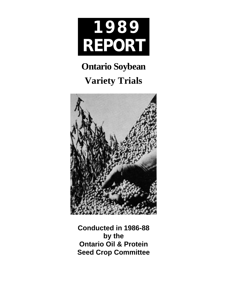

# **Ontario Soybean Variety Trials**



**Conducted in 1986-88 by the Ontario Oil & Protein Seed Crop Committee**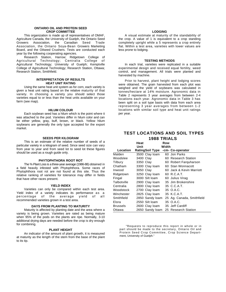#### **ONTARIO OIL AND PROTEIN SEED CROP COMMITTEE**

This organization is made up of representatives of OMAF, Agriculture Canada, the University of Guelph, the Ontario Seed Growers Association, the Canadian Seed Trade Association, the Ontario Soya-Bean Growers Marketing Board, and the Oilseed Crushers. Tests are conducted each year by the following cooperating agencies.

Research Station, Harrow; Ridgetown College of Agricultural Technology; Centralia College of Agricultural Technology; University of Guelph; Kemptville College of Agricultural Technology; Research Station, Ottawa; Research Station, Smithfield.

#### **INTERPRETATION OF RESULTS HEAT UNIT RATING**

Using the same heat unit system as for corn, each variety is given a heat unit rating based on the relative maturity of that variety. In choosing a variety you should select those varieties equal to or less than the heat units available on your farm (see map).

#### **HILUM COLOUR**

Each soybean seed has a hilum which is the point where it was attached to the pod. Varieties differ in hilum color and can be either yellow, gray, buff, brown, or black. Yellow hilum soybeans are generally the only type accepted for the export market.

#### **SEEDS PER KILOGRAM**

This is an estimate of the relative number of seeds of a particular variety in a kilogram of seed. Since seed size can vary from year to year and from seed lot to seed lot these figures should be used as a rough guide only.

#### **PHYTOPHTHORA ROOT ROT**

The % Plant Loss is a three-year average (1986-88) obtained in a field heavily infested with Phytophthora. Some races of Phytophthora root rot are not found at this site. Thus the relative ranking of varieties for tolerance may differ in fields that have other races present.

#### **YIELD INDEX**

Varieties can only be compared within each test area. Yield index of a variety indicates its performance as a average yield of all recommended varieties grown in a test area.

#### **DAYS FROM PLANTING TO MATURITY**

Maturity is affected by planting date and the area where a variety is being grown. Varieties are rated as being mature when 95% of the pods on the plants are ripe. Normally, 3-10 additional drying days are needed before the crop is dry enough for combining.

#### **PLANT HEIGHT**

An indicator of the amount of plant growth, it is measured at maturity as the length of the stem from the base of the plant to its tip.

#### **LODGING**

A visual estimate at maturity of the standability of the crop. A value of 1 is equivalent to a crop standing completely upright while a 5 represents a crop entirely flat. Within a test area, varieties with lower values are less prone to lodging.

#### **TESTING METHODS**

In each trial, varieties were replicated in a suitable experimental design and received equal fertility, weed control, and management. All trials were planted and harvested by machine.

Prior to harvest, plant height and lodging scores were obtained. The grain harvested from each plot was weighed and the yield of soybeans was calculated in tonnes/hectare at 14% moisture. Agronomic data in Table 2 represents 3 year averages from between 2-4 locations each year. Agronomic data in Table 3 has been split on a soil type basis with data from each area representing 3 year averages from between 1-2 locations with similar soil type and heat unit ratings per year.

### **TEST LOCATIONS AND SOIL TYPES 1988 TRIALS**

| Heat<br>Unit    |                        |  | Row<br>Width                        |
|-----------------|------------------------|--|-------------------------------------|
| Location        | <b>RatingSoil Type</b> |  | -cm- Co-operator                    |
| Malden          | 3500 Clay loam         |  | 60 Jon Parks                        |
| Woodslee        | 3400 Clay              |  | 60 Research Station                 |
| Tilbury         | 3350 Clay              |  | 60 Robert Farguharson               |
| Chatham         | 3300 Clay Ioam         |  | 60 Stan Wonnacott                   |
| Inwood          | 3050 Clay              |  | 60 Jack & Kevin Marriott            |
| Ridgetown       | 3250 Clay loam         |  | 60 R.C.A.T.                         |
| Fingal          | 3000 Silt loam         |  | 60 Julius Virag                     |
| Talbotville     | 2900 Clay loam         |  | 35 Jim Brokenshire                  |
| Centralia       | 2800 Clay loam         |  | 35 C.C.A.T.                         |
| Woodstock       | 2700 Clay loam         |  | 35 O.A.C.                           |
| Winchester      | 2825 Clay loam         |  | 35 K.C.A.T.                         |
| Smithfield      | 2850 Sandy loam        |  | 25 Ag. Canada, Smithfield           |
| Elora           | 2550 Silt Ioam         |  | 35 O.A.C.                           |
| <b>Brussels</b> | 2600 Clay loam         |  | 35 Jeff Cardiff                     |
| Ottawa          |                        |  | 2650 Sandy loam 25 Research Station |

"Requests to reproduce this report in whole or in part should be made to the secretary, Ontario Oil and Protein Seed Crop Committee, Crop Science Department, University of Guelph."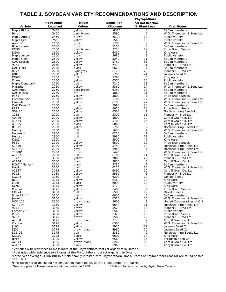## **TABLE 1. SOYBEAN VARIETY RECOMMENDATIONS AND DESCRIPTION**

|                          |                   |             | Phytophthora     |                             |                              |  |  |
|--------------------------|-------------------|-------------|------------------|-----------------------------|------------------------------|--|--|
|                          | <b>Heat Units</b> | Hilum       | <b>Seeds Per</b> | <b>Root Rot Reaction</b>    |                              |  |  |
|                          |                   |             |                  |                             |                              |  |  |
| Variety                  | Required          | Colour      | Kilogram         | $%$ Plant Loss <sup>1</sup> | <b>Distributor</b>           |  |  |
| Maple Ridge <sup>2</sup> | 2400              | yellow      | 6370             | 8                           | SeCan members                |  |  |
| Baron <sup>2</sup>       | 2450              | dark brown  | 5590             | 6                           | W.G. Thompson & Sons Ltd.    |  |  |
| Maple Amber <sup>2</sup> | 2450              | brown       | 6100             | 13                          | Public variety               |  |  |
|                          |                   |             |                  |                             |                              |  |  |
| Maple Isle               | 2500              | yellow      | 5560             | 15                          | Public variety               |  |  |
| Apache <sup>2</sup>      | 2600              | gray        | 5780             | 9                           | W.G. Thompson & Sons Ltd.    |  |  |
| Bicentennial             | 2600              | brown       | 5100             | 5                           | SeCan members                |  |  |
| KG30                     | 2600              | dark brown  | 7250             | 19                          | Pride Brand Seeds            |  |  |
|                          |                   |             |                  |                             |                              |  |  |
| <b>KG40</b>              | 2600              | yellow      | 6450             | 7                           | King Agro                    |  |  |
| Maple Arrow*             | 2600              | brown       | 5680             | 9                           | Public variety               |  |  |
| Maple Glen               | 2600              | yellow      | 5240             | 21                          | SeCan members                |  |  |
| OAC Scorpio              | 2600              | yellow      | 5750             | 35                          | SeCan members                |  |  |
| 9061                     | 2650              | yellow      | 7410             | 31                          | Pioneer Hi-Bred Ltd.         |  |  |
|                          |                   |             |                  |                             |                              |  |  |
| OAC Libra                | 2650              | black       | 6620             | $\overline{7}$              | SeCan members                |  |  |
| 0877                     | 2700              | light gray  | 6170             | 20                          | Pioneer Hi-Bred Ltd.         |  |  |
| J081                     | 2700              | yellow      | 5780             | 21                          | Jacques Seed Co.             |  |  |
| KG60*                    | 2700              | buff        | 5790             | 5                           | King Agro                    |  |  |
| Evans                    | 2750              | yellow      | 6370             | 20                          | Public variety               |  |  |
|                          |                   |             |                  |                             |                              |  |  |
| Maple Donovan*           | 2750              | buff        | 7140             | 13                          | SeCan members                |  |  |
| Marathon                 | 2750              | yellow      | 5360             | 14                          | W.G. Thompson & Sons Ltd.    |  |  |
| <b>OAC Aries</b>         | 2750              | dark brown  | 6150             | 18                          | SeCan members                |  |  |
| OAC Musca                | 2750              | tan         | 5860             | 11                          | SeCan members                |  |  |
| <b>PS61</b>              | 2750              | yellow      | 5800             | $\overline{7}$              | Pride Brand Seeds            |  |  |
|                          |                   |             |                  |                             |                              |  |  |
| Commander*               | 2850              | yellow      | 5100             | 12                          | W.G. Thompson & Sons Ltd.    |  |  |
| Crusader                 | 2850              | yellow      | 6190             | 22                          | W.G. Thompson & Sons Ltd.    |  |  |
| OAC Dorado'              | 2850              | brown       | 5990             | 20                          | SeCan members                |  |  |
| <b>PS72</b>              | 2850              | vellow      | 6610             | 14                          | Pride Brand Seeds            |  |  |
| S09-70                   | 2850              | yellow      | 6500             | 9                           |                              |  |  |
|                          |                   |             |                  |                             | Northrup King Seeds Ltd.     |  |  |
| 1282                     | 2900              | buff        | 5300             | 15                          | Pioneer Hi-Bred Ltd.         |  |  |
| A0949                    | 2900              | yellow      | 5800             | 12                          | Cargill Grain Co. Ltd.       |  |  |
| A1564                    | 2900              | yellow      | 5700             | 16                          | Cargill Grain Co. Ltd.       |  |  |
| A1895                    | 2900              | black       | 6060             | 8                           | Cargill Grain Co. Ltd.       |  |  |
|                          |                   |             |                  | 9                           |                              |  |  |
| B152*                    | 2900              | yellow      | 5780             |                             | Northrup King Seeds Ltd.     |  |  |
| Galaxy                   | 2900              | buff        | 5650             | $\overline{7}$              | W.G. Thompson & Sons Ltd.    |  |  |
| Haroson*                 | 2900              | buff        | 6220             | $\overline{7}$              | SeCan members                |  |  |
| Hodgson                  | 2900              | buff        | 5980             | 17                          | Public variety               |  |  |
| KG82                     | 2900              | tan         | 5500             | $\overline{7}$              | King Agro                    |  |  |
|                          |                   |             |                  | 12                          |                              |  |  |
| <b>PS80</b>              | 2900              | yellow      | 6500             |                             | Pride Brand Seeds            |  |  |
| S1346                    | 2900              | yellow      | 5750             | 10                          | Northrup King Seeds Ltd.     |  |  |
| $515 - 50*$              | 2900              | gray        | 6940             | 4                           | Northrup King Seeds Ltd.     |  |  |
| T8508 <sup>4</sup>       | 2900              | brown       | 5440             | 5                           | W.G. Thompson & Sons Ltd.    |  |  |
| A1937                    | 2950              | buff        | 6100             | 11                          | Cargill Grain Co. Ltd.       |  |  |
|                          |                   |             |                  |                             |                              |  |  |
| 1677                     | 3000              | yellow      | 7000             | 29                          | Pioneer Hi-Bred Ltd.         |  |  |
| A2234                    | 3000              | black       | 5830             | 3                           | Cargill Grain Co. Ltd.       |  |  |
| RCAT Alliance*3          | 3000              | black       | 5780             | $\overline{7}$              | SeCan members                |  |  |
| Hawk                     | 3000              | black       | 6130             | 10                          | W.G. Thompson & Sons Ltd.    |  |  |
| A2187                    | 3025              | yellow      | 6490             | 10                          | Cargill Grain Co. Ltd.       |  |  |
|                          |                   |             |                  |                             |                              |  |  |
| 9202                     | 3050              | yellow      | 5560             | 6                           | Pioneer Hi-Bred Ltd.         |  |  |
| CX226                    | 3050              | buff        | 6200             | 12                          | Dekalb Seeds                 |  |  |
| B220                     | 3075              | yellow      | 6460             | 23                          | King Agro                    |  |  |
| Elgin                    | 3075              | black       | 6090             | 14                          | Public variety               |  |  |
| KG92                     | 3075              | yellow      | 5770             | 8                           | King Agro                    |  |  |
|                          |                   |             |                  | 9                           |                              |  |  |
| Premier                  | 3075              | yellow      | 6480             |                             | Pride Brand Seeds            |  |  |
| CX174                    | 3100              | buff        | 5580             | 19                          | Dekalb Seeds                 |  |  |
| Elgin $87***3$           | 3100              | black       | 6000             | 6                           | SeCan members                |  |  |
| Jewel                    | 3100              | vellow      | 6310             | 33                          | W.G. Thompson & Sons Ltd.    |  |  |
| <b>UCO 112</b>           | 3100              | brown-black | 5600             | 8                           | United Co-operatives of Ont. |  |  |
|                          |                   |             |                  |                             |                              |  |  |
| $S24 - 24*$              | 3150              | yellow      | 6640             | 11                          | Northrup King Seeds Ltd.     |  |  |
| 9271                     | 3150              | brown       | 5520             | 13                          | Pioneer Hi-Bred Ltd.         |  |  |
| Corsoy 79*               | 3150              | yellow      | 6540             | 10                          | Public variety               |  |  |
| <b>PS90</b>              | 3150              | yellow      | 6320             | 15                          | Pride Brand Seeds            |  |  |
| 9292                     | 3175              | brown       | 5580             | 12                          | Pioneer Hi-Bred Ltd.         |  |  |
|                          |                   |             |                  |                             |                              |  |  |
| A2630                    | 3175              | brown-black | 7170             | $\overline{7}$              | Cargill Grain Co. Ltd.       |  |  |
| Combat                   | 3175              | yellow      | 6300             | 6                           | W.G. Thompson & Sons Ltd.    |  |  |
| J103                     | 3175              | yellow      | 5930             | 27                          | Jacques Seed Co.             |  |  |
| J231                     | 3175              | brown-black | 4980             | 20                          | Jacques Seed Co.             |  |  |
| $S26 - 064$              | 3175              | buff        | 5380             | 9                           |                              |  |  |
|                          |                   |             |                  |                             | Northrup King Seeds Ltd.     |  |  |
| <b>KG100</b>             | 3225              | black       | 6600             | 14                          | King Agro                    |  |  |
| Birch                    | 3300              | yellow      | 6560             | 14                          | Ferguson Seed Co.            |  |  |
| A2943                    | 3325              | brown-black | 6260             | 12                          | Cargill Grain Co. Ltd.       |  |  |
| A3127                    | 3350              | black       | 6960             | 9                           | Cargill Grain Co. Ltd.       |  |  |
|                          |                   |             |                  |                             |                              |  |  |

\*Varieties with resistance to most races of the Phytophthora root rot organism in Ontario.

\*\*Varieties with resistence to all races of the Phytophthora root rot organism in Ontario.

'Three-year average (1986-88) in a field heavily infested with Phytophthora. Not all races of Phytophthora root rot are found at this site. Thus

<sup>2</sup>Metribuzin herbicide should not be used on Maple Ridge, Baron, Maple Amber or Apache.<br><sup>3</sup>Seed supplies of these varieties will be limited in 1989. <sup>4</sup>Subject to registration by Agriculture Canada.

 $3$ Seed supplies of these varieties will be limited in 1989.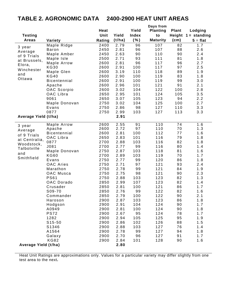# **TABLE 2. AGRONOMIC DATA 2400-2900 HEAT UNIT AREAS**

|                        |                       |              |              |              | Days from       |              |                       |
|------------------------|-----------------------|--------------|--------------|--------------|-----------------|--------------|-----------------------|
|                        |                       | Heat         |              | Yield        | <b>Planting</b> | <b>Plant</b> | Lodging               |
| <b>Testing</b>         |                       | Unit         | Yield        | <b>Index</b> | to              |              | Height $1 =$ standing |
| <b>Areas</b>           | Variety               | Rating       | (t/ha)       | ( %)         | <b>Maturity</b> | (cm)         | $5 = flat$            |
|                        | Maple Ridge           | 2400         | 2.79         | 96           | 107             | 82           | 1.7                   |
| 3 year                 | <b>Baron</b>          | 2450         | 2.81         | 96           | 107             | 88           | 2.6                   |
| Average<br>of 9 Trials | Maple Amber           | 2450         | 2.63         | 90           | 110             | 90           | 2.4                   |
| at Brussels,           | Maple Isle            | 2500         | 2.71         | 93           | 111             | 81           | 1.8                   |
| Elora,                 | Maple Arrow           | 2600         | 2.81         | 96           | 117             | 96           | 2.7                   |
|                        | <b>KG30</b>           | 2600         | 2.91         | 100          | 117             | 97           | 2.5                   |
| Winchester             | Maple Glen            | 2600         | 3.19         | 110          | 118             | 89           | 1.9                   |
| and<br>Ottawa          | <b>KG40</b>           | 2600         | 2.90         | 100          | 119             | 83           | 1.8                   |
|                        | <b>Bicentennial</b>   | 2600         | 2.91         | 100          | 119             | 99           | 3.0                   |
|                        | Apache                | 2600         | 2.96         | 101          | 121             | 91           | 2.1                   |
|                        | OAC Scorpio           | 2600         | 3.02         | 104          | 122             | 100          | 2.8                   |
|                        | OAC Libra             | 2650         | 2.95         | 101          | 124             | 105          | 3.5                   |
|                        | 9061                  | 2650         | 3.07         | 105          | 123             | 94           | 2.2                   |
|                        | Maple Donovan         | 2750         | 3.02         | 104          | 125             | 100          | 2.7                   |
|                        | Evans                 | 2750         | 2.86         | 98           | 127             | 110          | 3.3                   |
|                        | 0877                  | 2750         | 2.99         | 103          | 127             | 113          | 3.3                   |
| Average Yield (t/ha)   |                       |              | 2.91         |              |                 |              |                       |
| 3 year                 | Maple Arrow           | 2600         | 2.55         | 91           | 110             | 74           | 1.6                   |
| Average                | Apache                | 2600         | 2.72         | 97           | 110             | 70           | 1.3                   |
| of 9 Trials            | <b>Bicentennial</b>   | 2600         | 2.81         | 100          | 112             | 77           | 1.6                   |
| at Centralia,          | OAC Libra             | 2650         | 2.83         | 101          | 116             | 79           | 1.8                   |
| Woodstock,             | 0877                  | 2700         | 2.88         | 103          | 116             | 82           | 1.8                   |
| Talbotville            | J081                  | 2700         | 2.77         | 99           | 116             | 80           | 1.4                   |
| and                    | Maple Donovan         | 2750         | 2.87         | 103          | 118             | 81           | 1.6                   |
| Smithfield             | <b>KG60</b>           | 2700         | 2.89         | 103          | 119             | 70           | 1.7                   |
|                        | Evans                 | 2750         | 2.77         | 99           | 120             | 86           | 1.8                   |
|                        | <b>OAC Aries</b>      | 2750         | 2.71         | 97           | 121             | 93           | 2.4                   |
|                        | Marathon<br>OAC Musca | 2750         | 2.78<br>2.75 | 99<br>98     | 121             | 84<br>90     | 1.9                   |
|                        | <b>PS61</b>           | 2750<br>2750 | 2.88         | 103          | 121<br>123      | 82           | 2.3<br>1.3            |
|                        | <b>OAC Dorado</b>     | 2850         | 2.99         | 107          | 123             | 82           | 1.4                   |
|                        | Crusader              | 2850         | 2.81         | 100          | 121             | 86           | 1.7                   |
|                        | S09-70                | 2850         | 2.76         | 99           | 122             | 82           | 1.6                   |
|                        | Commander             | 2850         | 2.79         | 100          | 122             | 90           | 2.1                   |
|                        | Haroson               | 2900         | 2.87         | 103          | 123             | 86           | 1.8                   |
|                        | Hodgson               | 2900         | 2.91         | 104          | 124             | 90           | 1.7                   |
|                        | A0949                 | 2900         | 2.81         | 100          | 124             | 90           | 1.8                   |
|                        | <b>PS72</b>           | 2900         | 2.67         | 95           | 124             | 78           | 1.7                   |
|                        | 1282                  | 2900         | 2.94         | 105          | 125             | 95           | 1.9                   |
|                        | $S15-50$              | 2900         | 2.86         | 102          | 126             | 88           | 1.5                   |
|                        | S1346                 | 2900         | 2.88         | 103          | 127             | 76           | 1.4                   |
|                        | A1564                 | 2900         | 2.78         | 99           | 127             | 94           | 1.8                   |
|                        | Galaxy                | 2900         | 2.70         | 96           | 127             | 91           | 1.7                   |
|                        | <b>KG82</b>           | 2900         | 2.84         | 101          | 128             | 90           | 1.6                   |
| Average Yield (t/ha)   |                       |              | 2.80         |              |                 |              |                       |
|                        |                       |              |              |              |                 |              |                       |

Heat Unit Ratings are approximations only. Values for a particular variety may differ slightly from one test area to the next**.**